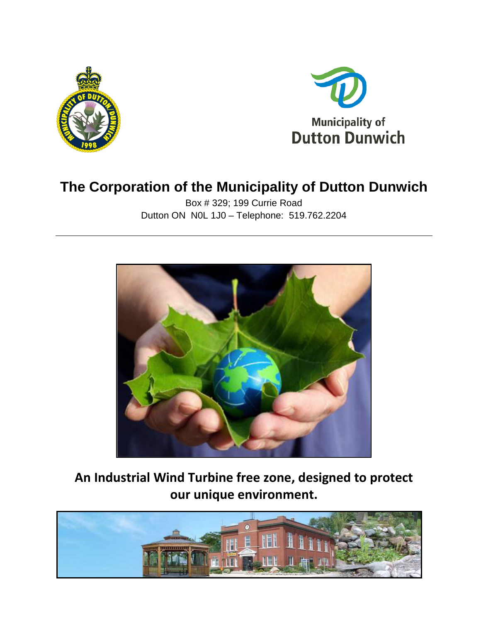



# **The Corporation of the Municipality of Dutton Dunwich**

Box # 329; 199 Currie Road Dutton ON N0L 1J0 – Telephone: 519.762.2204



**An Industrial Wind Turbine free zone, designed to protect our unique environment.**

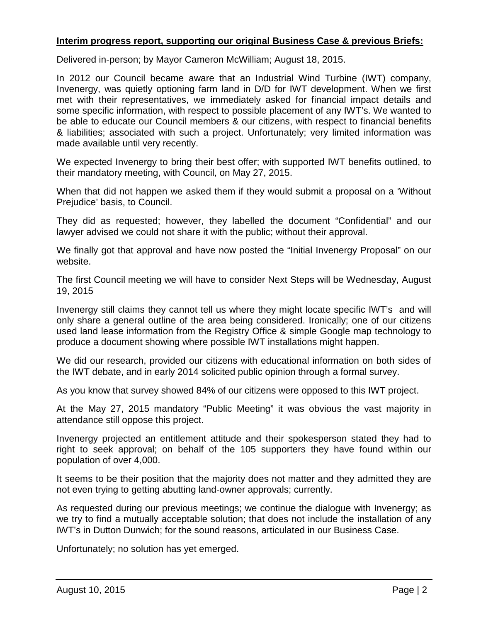#### **Interim progress report, supporting our original Business Case & previous Briefs:**

Delivered in-person; by Mayor Cameron McWilliam; August 18, 2015.

In 2012 our Council became aware that an Industrial Wind Turbine (IWT) company, Invenergy, was quietly optioning farm land in D/D for IWT development. When we first met with their representatives, we immediately asked for financial impact details and some specific information, with respect to possible placement of any IWT's. We wanted to be able to educate our Council members & our citizens, with respect to financial benefits & liabilities; associated with such a project. Unfortunately; very limited information was made available until very recently.

We expected Invenergy to bring their best offer; with supported IWT benefits outlined, to their mandatory meeting, with Council, on May 27, 2015.

When that did not happen we asked them if they would submit a proposal on a 'Without Prejudice' basis, to Council.

They did as requested; however, they labelled the document "Confidential" and our lawyer advised we could not share it with the public; without their approval.

We finally got that approval and have now posted the "Initial Invenergy Proposal" on our website.

The first Council meeting we will have to consider Next Steps will be Wednesday, August 19, 2015

Invenergy still claims they cannot tell us where they might locate specific IWT's and will only share a general outline of the area being considered. Ironically; one of our citizens used land lease information from the Registry Office & simple Google map technology to produce a document showing where possible IWT installations might happen.

We did our research, provided our citizens with educational information on both sides of the IWT debate, and in early 2014 solicited public opinion through a formal survey.

As you know that survey showed 84% of our citizens were opposed to this IWT project.

At the May 27, 2015 mandatory "Public Meeting" it was obvious the vast majority in attendance still oppose this project.

Invenergy projected an entitlement attitude and their spokesperson stated they had to right to seek approval; on behalf of the 105 supporters they have found within our population of over 4,000.

It seems to be their position that the majority does not matter and they admitted they are not even trying to getting abutting land-owner approvals; currently.

As requested during our previous meetings; we continue the dialogue with Invenergy; as we try to find a mutually acceptable solution; that does not include the installation of any IWT's in Dutton Dunwich; for the sound reasons, articulated in our Business Case.

Unfortunately; no solution has yet emerged.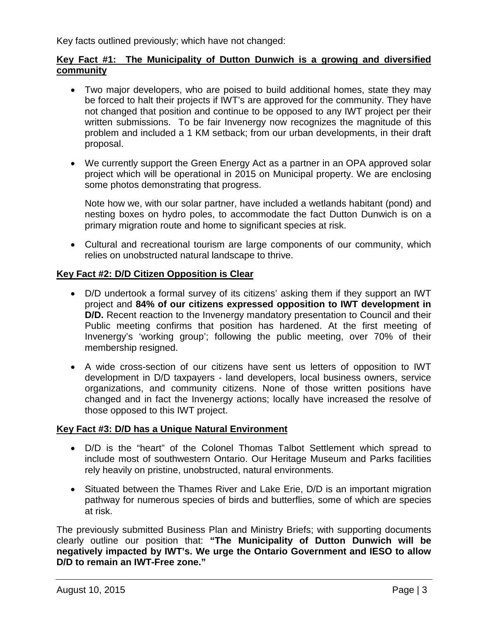Key facts outlined previously; which have not changed:

### **Key Fact #1: The Municipality of Dutton Dunwich is a growing and diversified community**

- Two major developers, who are poised to build additional homes, state they may be forced to halt their projects if IWT's are approved for the community. They have not changed that position and continue to be opposed to any IWT project per their written submissions. To be fair Invenergy now recognizes the magnitude of this problem and included a 1 KM setback; from our urban developments, in their draft proposal.
- We currently support the Green Energy Act as a partner in an OPA approved solar project which will be operational in 2015 on Municipal property. We are enclosing some photos demonstrating that progress.

Note how we, with our solar partner, have included a wetlands habitant (pond) and nesting boxes on hydro poles, to accommodate the fact Dutton Dunwich is on a primary migration route and home to significant species at risk.

• Cultural and recreational tourism are large components of our community, which relies on unobstructed natural landscape to thrive.

## **Key Fact #2: D/D Citizen Opposition is Clear**

- D/D undertook a formal survey of its citizens' asking them if they support an IWT project and **84% of our citizens expressed opposition to IWT development in D/D.** Recent reaction to the Invenergy mandatory presentation to Council and their Public meeting confirms that position has hardened. At the first meeting of Invenergy's 'working group'; following the public meeting, over 70% of their membership resigned.
- A wide cross-section of our citizens have sent us letters of opposition to IWT development in D/D taxpayers - land developers, local business owners, service organizations, and community citizens. None of those written positions have changed and in fact the Invenergy actions; locally have increased the resolve of those opposed to this IWT project.

#### **Key Fact #3: D/D has a Unique Natural Environment**

- D/D is the "heart" of the Colonel Thomas Talbot Settlement which spread to include most of southwestern Ontario. Our Heritage Museum and Parks facilities rely heavily on pristine, unobstructed, natural environments.
- Situated between the Thames River and Lake Erie, D/D is an important migration pathway for numerous species of birds and butterflies, some of which are species at risk.

The previously submitted Business Plan and Ministry Briefs; with supporting documents clearly outline our position that: **"The Municipality of Dutton Dunwich will be negatively impacted by IWT's. We urge the Ontario Government and IESO to allow D/D to remain an IWT-Free zone."**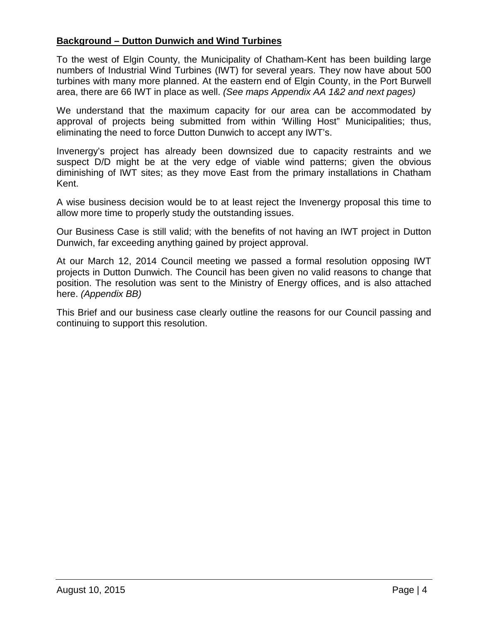## **Background – Dutton Dunwich and Wind Turbines**

To the west of Elgin County, the Municipality of Chatham-Kent has been building large numbers of Industrial Wind Turbines (IWT) for several years. They now have about 500 turbines with many more planned. At the eastern end of Elgin County, in the Port Burwell area, there are 66 IWT in place as well. *(See maps Appendix AA 1&2 and next pages)*

We understand that the maximum capacity for our area can be accommodated by approval of projects being submitted from within 'Willing Host" Municipalities; thus, eliminating the need to force Dutton Dunwich to accept any IWT's.

Invenergy's project has already been downsized due to capacity restraints and we suspect D/D might be at the very edge of viable wind patterns; given the obvious diminishing of IWT sites; as they move East from the primary installations in Chatham Kent.

A wise business decision would be to at least reject the Invenergy proposal this time to allow more time to properly study the outstanding issues.

Our Business Case is still valid; with the benefits of not having an IWT project in Dutton Dunwich, far exceeding anything gained by project approval.

At our March 12, 2014 Council meeting we passed a formal resolution opposing IWT projects in Dutton Dunwich. The Council has been given no valid reasons to change that position. The resolution was sent to the Ministry of Energy offices, and is also attached here. *(Appendix BB)*

This Brief and our business case clearly outline the reasons for our Council passing and continuing to support this resolution.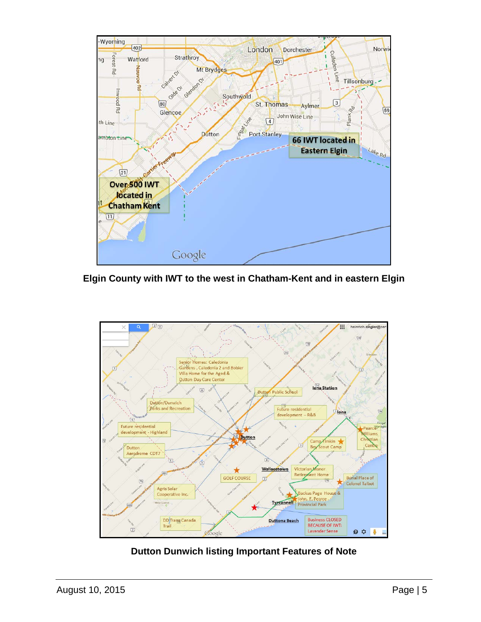

**Elgin County with IWT to the west in Chatham-Kent and in eastern Elgin**



# **Dutton Dunwich listing Important Features of Note**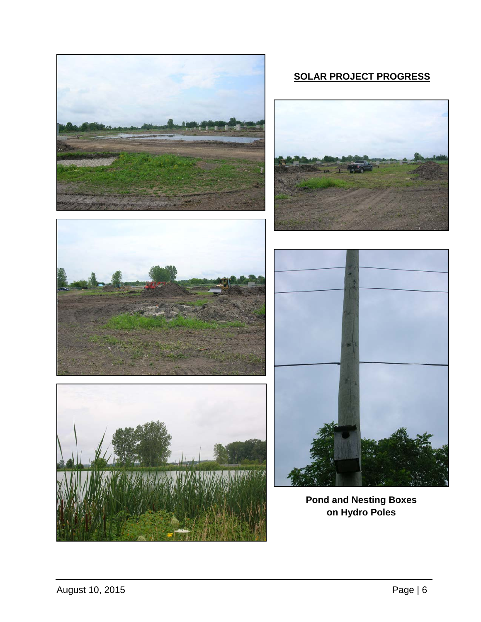

# **SOLAR PROJECT PROGRESS**









**Pond and Nesting Boxes on Hydro Poles**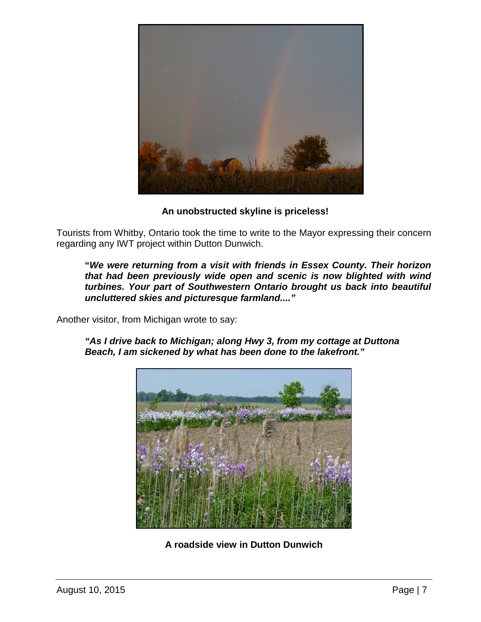

**An unobstructed skyline is priceless!**

Tourists from Whitby, Ontario took the time to write to the Mayor expressing their concern regarding any IWT project within Dutton Dunwich.

**"***We were returning from a visit with friends in Essex County. Their horizon that had been previously wide open and scenic is now blighted with wind turbines. Your part of Southwestern Ontario brought us back into beautiful uncluttered skies and picturesque farmland...."*

Another visitor, from Michigan wrote to say:

*"As I drive back to Michigan; along Hwy 3, from my cottage at Duttona Beach, I am sickened by what has been done to the lakefront."*



**A roadside view in Dutton Dunwich**